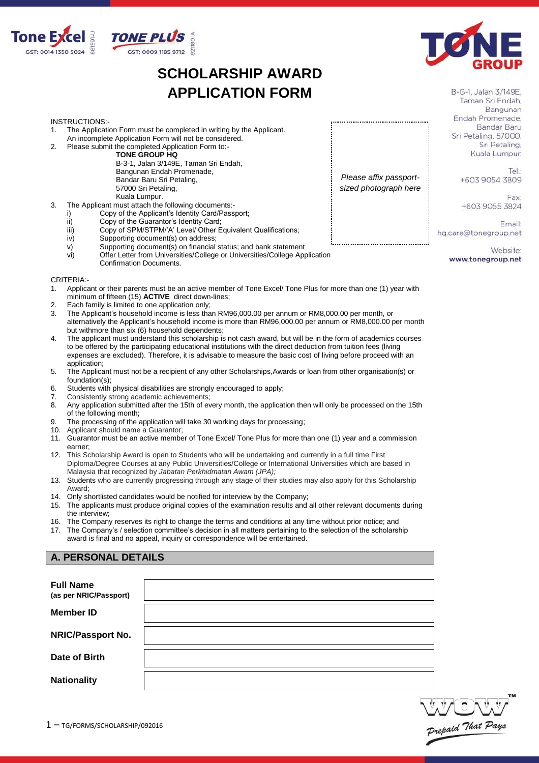

## **SCHOLARSHIP AWARD APPLICATION FORM**



B-G-1, Jalan 3/149E. Taman Sri Endah, Bangunan Endah Promenade. Bandar Baru Sri Petaling, 57000. Sri Petaling, Kuala Lumpur.

> Tel: +603 9054 3809

Fay: +603 9055 3824

Email: hq.care@tonegroup.net

*Please affix passportsized photograph here*

> Website: www.tonegroup.net

- INSTRUCTIONS:-
- 1. The Application Form must be completed in writing by the Applicant.
- An incomplete Application Form will not be considered. 2. Please submit the completed Application Form to:-
	- **TONE GROUP HQ**

B-3-1, Jalan 3/149E, Taman Sri Endah, Bangunan Endah Promenade, Bandar Baru Sri Petaling, 57000 Sri Petaling, Kuala Lumpur.

- 3. The Applicant must attach the following documents:
	- i) Copy of the Applicant's Identity Card/Passport;<br>ii) Copy of the Guarantor's Identity Card:
	- Copy of the Guarantor's Identity Card;
	- iii) Copy of SPM/STPM/'A' Level/ Other Equivalent Qualifications;<br>iv) Supporting document(s) on address;
	- iv) Supporting document(s) on address;<br>v) Supporting document(s) on financial
	- v) Supporting document(s) on financial status; and bank statement<br>vi) Offer Letter from Universities/College or Universities/College App
	- Offer Letter from Universities/College or Universities/College Application Confirmation Documents.

CRITERIA:-

- 1. Applicant or their parents must be an active member of Tone Excel/ Tone Plus for more than one (1) year with minimum of fifteen (15) **ACTIVE** direct down-lines;
- 2. Each family is limited to one application only;<br>3. The Applicant's household income is less tha
- 3. The Applicant's household income is less than RM96,000.00 per annum or RM8,000.00 per month, or alternatively the Applicant's household income is more than RM96,000.00 per annum or RM8,000.00 per month but withmore than six (6) household dependents;
- 4. The applicant must understand this scholarship is not cash award, but will be in the form of academics courses to be offered by the participating educational institutions with the direct deduction from tuition fees (living expenses are excluded). Therefore, it is advisable to measure the basic cost of living before proceed with an application;
- 5. The Applicant must not be a recipient of any other Scholarships,Awards or loan from other organisation(s) or foundation(s);
- 6. Students with physical disabilities are strongly encouraged to apply;
- 7. Consistently strong academic achievements;
- 8. Any application submitted after the 15th of every month, the application then will only be processed on the 15th of the following month;
- 9. The processing of the application will take 30 working days for processing;
- 10. Applicant should name a Guarantor;
- 11. Guarantor must be an active member of Tone Excel/ Tone Plus for more than one (1) year and a commission earner;
- 12. This Scholarship Award is open to Students who will be undertaking and currently in a full time First Diploma/Degree Courses at any Public Universities/College or International Universities which are based in Malaysia that recognized by *Jabatan Perkhidmatan Awam (JPA);*
- 13. Students who are currently progressing through any stage of their studies may also apply for this Scholarship Award;
- 14. Only shortlisted candidates would be notified for interview by the Company;
- 15. The applicants must produce original copies of the examination results and all other relevant documents during the interview;
- 16. The Company reserves its right to change the terms and conditions at any time without prior notice; and 17. The Company's / selection committee's decision in all matters pertaining to the selection of the scholarship
- award is final and no appeal, inquiry or correspondence will be entertained.

## **A. PERSONAL DETAILS**

| <b>Full Name</b><br>(as per NRIC/Passport) |  |
|--------------------------------------------|--|
| <b>Member ID</b>                           |  |
| NRIC/Passport No.                          |  |
| Date of Birth                              |  |
| <b>Nationality</b>                         |  |

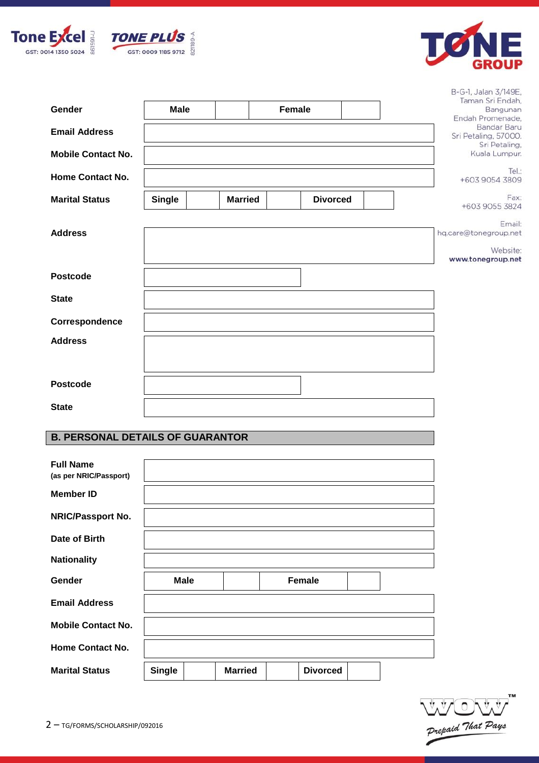





| Gender<br><b>Email Address</b><br><b>Mobile Contact No.</b> | <b>Male</b>   |                | <b>Female</b> |                 | B-G-1, Jalan 3/149E,<br>Taman Sri Endah.<br>Bangunan<br>Endah Promenade,<br><b>Bandar Baru</b><br>Sri Petaling, 57000.<br>Sri Petaling,<br>Kuala Lumpur. |
|-------------------------------------------------------------|---------------|----------------|---------------|-----------------|----------------------------------------------------------------------------------------------------------------------------------------------------------|
| <b>Home Contact No.</b>                                     |               |                |               |                 | Tel:<br>+603 9054 3809                                                                                                                                   |
| <b>Marital Status</b>                                       | <b>Single</b> | <b>Married</b> |               | <b>Divorced</b> | Fax:<br>+603 9055 3824                                                                                                                                   |
| <b>Address</b>                                              |               |                |               |                 | Email:<br>hq.care@tonegroup.net<br>Website:<br>www.tonegroup.net                                                                                         |
| <b>Postcode</b>                                             |               |                |               |                 |                                                                                                                                                          |
| <b>State</b>                                                |               |                |               |                 |                                                                                                                                                          |
| Correspondence                                              |               |                |               |                 |                                                                                                                                                          |
| <b>Address</b>                                              |               |                |               |                 |                                                                                                                                                          |
| <b>Postcode</b>                                             |               |                |               |                 |                                                                                                                                                          |
| <b>State</b>                                                |               |                |               |                 |                                                                                                                                                          |

## **B. PERSONAL DETAILS OF GUARANTOR**

| <b>Full Name</b><br>(as per NRIC/Passport) |             |  |               |  |
|--------------------------------------------|-------------|--|---------------|--|
| <b>Member ID</b>                           |             |  |               |  |
| <b>NRIC/Passport No.</b>                   |             |  |               |  |
| Date of Birth                              |             |  |               |  |
| <b>Nationality</b>                         |             |  |               |  |
| Gender                                     | <b>Male</b> |  | <b>Female</b> |  |
| <b>Email Address</b>                       |             |  |               |  |
| <b>Mobile Contact No.</b>                  |             |  |               |  |
| <b>Home Contact No.</b>                    |             |  |               |  |
|                                            |             |  |               |  |

Prepaid That Pays **TM**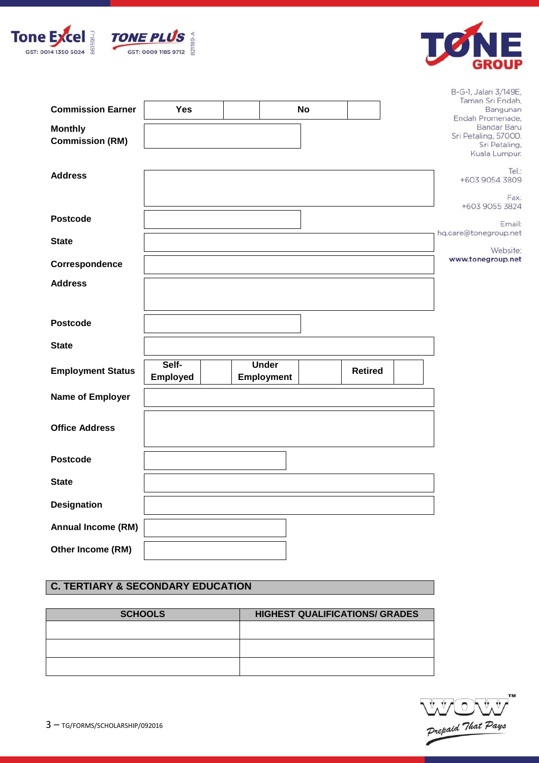



| <b>Commission Earner</b><br><b>Monthly</b><br><b>Commission (RM)</b> | <b>Yes</b>               |                                   | <b>No</b> |                | B-G-1, Jalan 3/149E,<br>Taman Sri Endah,<br>Bangunan<br>Endah Promenade,<br>Bandar Baru<br>Sri Petaling, 57000.<br>Sri Petaling,<br>Kuala Lumpur. |
|----------------------------------------------------------------------|--------------------------|-----------------------------------|-----------|----------------|---------------------------------------------------------------------------------------------------------------------------------------------------|
| <b>Address</b>                                                       |                          |                                   |           |                | Tel:<br>+603 9054 3809<br>Fax:<br>+603 9055 3824                                                                                                  |
| <b>Postcode</b>                                                      |                          |                                   |           |                | Email:                                                                                                                                            |
| <b>State</b>                                                         |                          |                                   |           |                | hq.care@tonegroup.net<br>Website:                                                                                                                 |
| Correspondence                                                       |                          |                                   |           |                | www.tonegroup.net                                                                                                                                 |
| <b>Address</b>                                                       |                          |                                   |           |                |                                                                                                                                                   |
| <b>Postcode</b>                                                      |                          |                                   |           |                |                                                                                                                                                   |
| <b>State</b>                                                         |                          |                                   |           |                |                                                                                                                                                   |
| <b>Employment Status</b>                                             | Self-<br><b>Employed</b> | <b>Under</b><br><b>Employment</b> |           | <b>Retired</b> |                                                                                                                                                   |
| Name of Employer                                                     |                          |                                   |           |                |                                                                                                                                                   |
| <b>Office Address</b>                                                |                          |                                   |           |                |                                                                                                                                                   |
| <b>Postcode</b>                                                      |                          |                                   |           |                |                                                                                                                                                   |
| <b>State</b>                                                         |                          |                                   |           |                |                                                                                                                                                   |
| <b>Designation</b>                                                   |                          |                                   |           |                |                                                                                                                                                   |
| Annual Income (RM)                                                   |                          |                                   |           |                |                                                                                                                                                   |
| Other Income (RM)                                                    |                          |                                   |           |                |                                                                                                                                                   |

## **C. TERTIARY & SECONDARY EDUCATION**

| <b>SCHOOLS</b> | <b>HIGHEST QUALIFICATIONS/ GRADES</b> |
|----------------|---------------------------------------|
|                |                                       |
|                |                                       |
|                |                                       |

Prepaid That Pays **TM**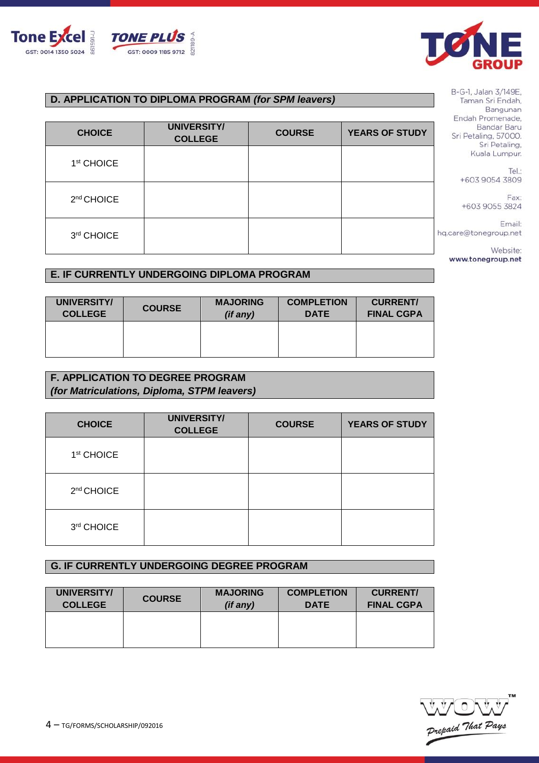



## **D. APPLICATION TO DIPLOMA PROGRAM** *(for SPM leavers)*

| <b>CHOICE</b>          | <b>UNIVERSITY/</b><br><b>COLLEGE</b> | <b>COURSE</b> | <b>YEARS OF STUDY</b> |   |
|------------------------|--------------------------------------|---------------|-----------------------|---|
| 1 <sup>st</sup> CHOICE |                                      |               |                       |   |
| 2 <sup>nd</sup> CHOICE |                                      |               |                       |   |
| 3rd CHOICE             |                                      |               |                       | h |

## **E. IF CURRENTLY UNDERGOING DIPLOMA PROGRAM**

| UNIVERSITY/    | <b>COURSE</b> | <b>MAJORING</b> | <b>COMPLETION</b> | <b>CURRENT/</b>   |
|----------------|---------------|-----------------|-------------------|-------------------|
| <b>COLLEGE</b> |               | (if any)        | <b>DATE</b>       | <b>FINAL CGPA</b> |
|                |               |                 |                   |                   |

## **F. APPLICATION TO DEGREE PROGRAM**  *(for Matriculations, Diploma, STPM leavers)*

| <b>CHOICE</b>          | <b>UNIVERSITY/</b><br><b>COLLEGE</b> | <b>COURSE</b> | <b>YEARS OF STUDY</b> |
|------------------------|--------------------------------------|---------------|-----------------------|
| 1 <sup>st</sup> CHOICE |                                      |               |                       |
| 2 <sup>nd</sup> CHOICE |                                      |               |                       |
| 3rd CHOICE             |                                      |               |                       |

## **G. IF CURRENTLY UNDERGOING DEGREE PROGRAM**

| UNIVERSITY/    | <b>COURSE</b> | <b>MAJORING</b> | <b>COMPLETION</b> | <b>CURRENT/</b>   |
|----------------|---------------|-----------------|-------------------|-------------------|
| <b>COLLEGE</b> |               | (if any)        | <b>DATE</b>       | <b>FINAL CGPA</b> |
|                |               |                 |                   |                   |

Prepaid That Pays

B-G-1, Jalan 3/149E, Taman Sri Endah, Bangunan Endah Promenade, **Bandar Baru** Sri Petaling, 57000. Sri Petaling, Kuala Lumpur.

> Tel.: +603 9054 3809

Fax: +603 9055 3824

Email: q.care@tonegroup.net

Website:

www.tonegroup.net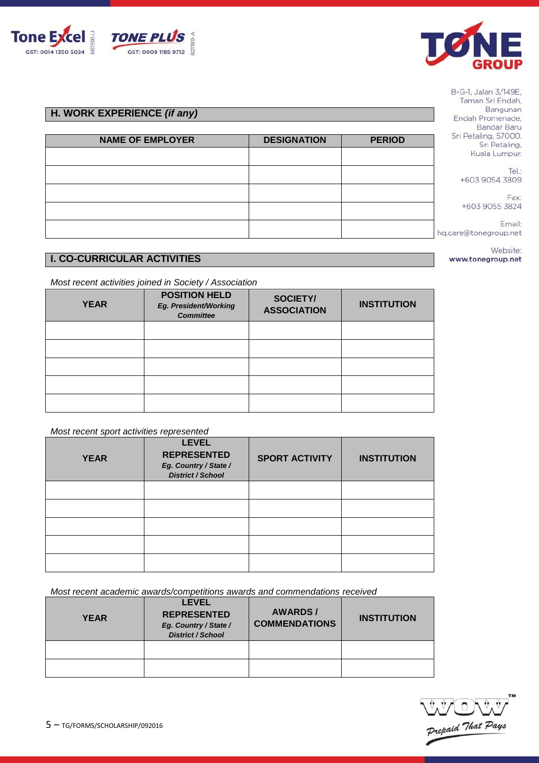

5 – TG/FORMS/SCHOLARSHIP/092016

| <b>NORK EXPERIENCE (if any)</b> |                    |               |
|---------------------------------|--------------------|---------------|
|                                 |                    |               |
| <b>NAME OF EMPLOYER</b>         | <b>DESIGNATION</b> | <b>PERIOD</b> |
|                                 |                    |               |

B-G-1, Jalan 3/149E, Taman Sri Endah, Bangunan Endah Promenade, Bandar Baru Sri Petaling, 57000. Sri Petaling, Kuala Lumpur.

Tel.: +603 9054 3809

Fax: +603 9055 3824

Email: hq.care@tonegroup.net

> Website: www.tonegroup.net

# **I. CO-CURRICULAR ACTIVITIES**

*Most recent activities joined in Society / Association*

| <b>YEAR</b> | <b>POSITION HELD</b><br>Eg. President/Working<br><b>Committee</b> | <b>SOCIETY/</b><br><b>ASSOCIATION</b> | <b>INSTITUTION</b> |  |  |
|-------------|-------------------------------------------------------------------|---------------------------------------|--------------------|--|--|
|             |                                                                   |                                       |                    |  |  |
|             |                                                                   |                                       |                    |  |  |
|             |                                                                   |                                       |                    |  |  |
|             |                                                                   |                                       |                    |  |  |
|             |                                                                   |                                       |                    |  |  |

### *Most recent sport activities represented*

| .           | ___                                                                                     |                       |                    |
|-------------|-----------------------------------------------------------------------------------------|-----------------------|--------------------|
| <b>YEAR</b> | <b>LEVEL</b><br><b>REPRESENTED</b><br>Eg. Country / State /<br><b>District / School</b> | <b>SPORT ACTIVITY</b> | <b>INSTITUTION</b> |
|             |                                                                                         |                       |                    |
|             |                                                                                         |                       |                    |
|             |                                                                                         |                       |                    |
|             |                                                                                         |                       |                    |
|             |                                                                                         |                       |                    |

*Most recent academic awards/competitions awards and commendations received*

| <b>YEAR</b> | <b>LEVEL</b><br><b>REPRESENTED</b><br>Eg. Country / State /<br><b>District / School</b> | <b>AWARDS/</b><br><b>COMMENDATIONS</b> | <b>INSTITUTION</b> |
|-------------|-----------------------------------------------------------------------------------------|----------------------------------------|--------------------|
|             |                                                                                         |                                        |                    |
|             |                                                                                         |                                        |                    |







**H.** \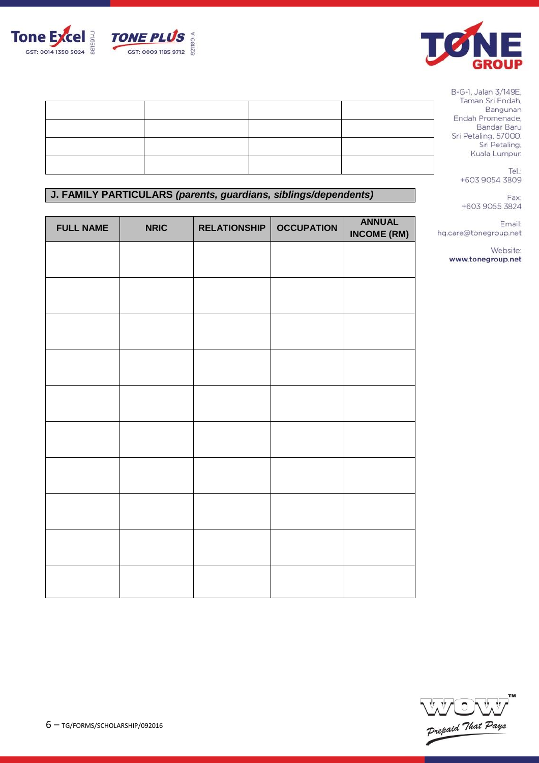



Tel.: +603 9054 3809

Fax: +603 9055 3824

Email: hq.care@tonegroup.net

> Website: www.tonegroup.net

## **J. FAMILY PARTICULARS** *(parents, guardians, siblings/dependents)*

| <b>FULL NAME</b> | <b>NRIC</b> | <b>RELATIONSHIP</b> | <b>OCCUPATION</b> | <b>ANNUAL</b><br><b>INCOME (RM)</b> |
|------------------|-------------|---------------------|-------------------|-------------------------------------|
|                  |             |                     |                   |                                     |
|                  |             |                     |                   |                                     |
|                  |             |                     |                   |                                     |
|                  |             |                     |                   |                                     |
|                  |             |                     |                   |                                     |
|                  |             |                     |                   |                                     |
|                  |             |                     |                   |                                     |
|                  |             |                     |                   |                                     |
|                  |             |                     |                   |                                     |
|                  |             |                     |                   |                                     |
|                  |             |                     |                   |                                     |



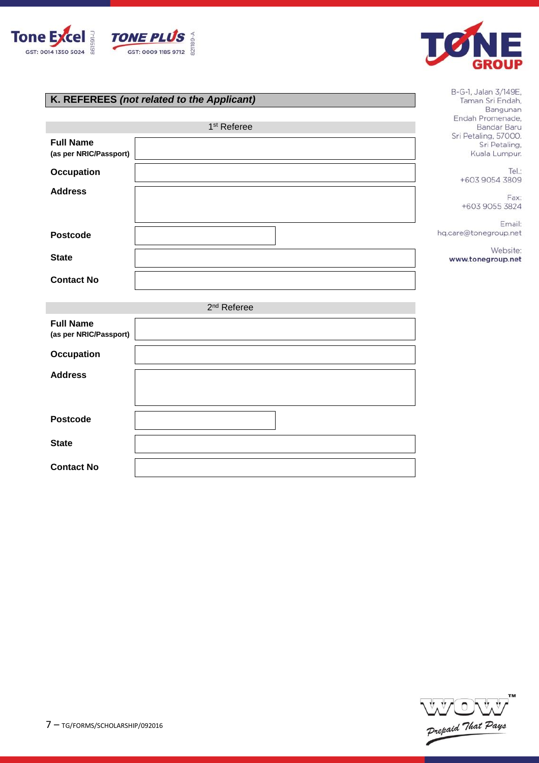



B-G-1, Jalan 3/149E, Taman Sri Endah, Bangunan

## **K. REFEREES** *(not related to the Applicant)*

|                                            | 1 <sup>st</sup> Referee | <u>Parisher</u><br>Endah Promenade,<br>Bandar Baru     |
|--------------------------------------------|-------------------------|--------------------------------------------------------|
| <b>Full Name</b><br>(as per NRIC/Passport) |                         | Sri Petaling, 57000.<br>Sri Petaling,<br>Kuala Lumpur. |
| <b>Occupation</b>                          |                         | Tel.:<br>+603 9054 3809                                |
| <b>Address</b>                             |                         | Fax:<br>+603 9055 3824                                 |
| <b>Postcode</b>                            |                         | Email:<br>hq.care@tonegroup.net                        |
| <b>State</b>                               |                         | Website:<br>www.tonegroup.net                          |
| <b>Contact No</b>                          |                         |                                                        |
|                                            | 2 <sup>nd</sup> Referee |                                                        |
| <b>Full Name</b><br>(as per NRIC/Passport) |                         |                                                        |
| <b>Occupation</b>                          |                         |                                                        |
| <b>Address</b>                             |                         |                                                        |
| <b>Postcode</b>                            |                         |                                                        |
| <b>State</b>                               |                         |                                                        |
| <b>Contact No</b>                          |                         |                                                        |

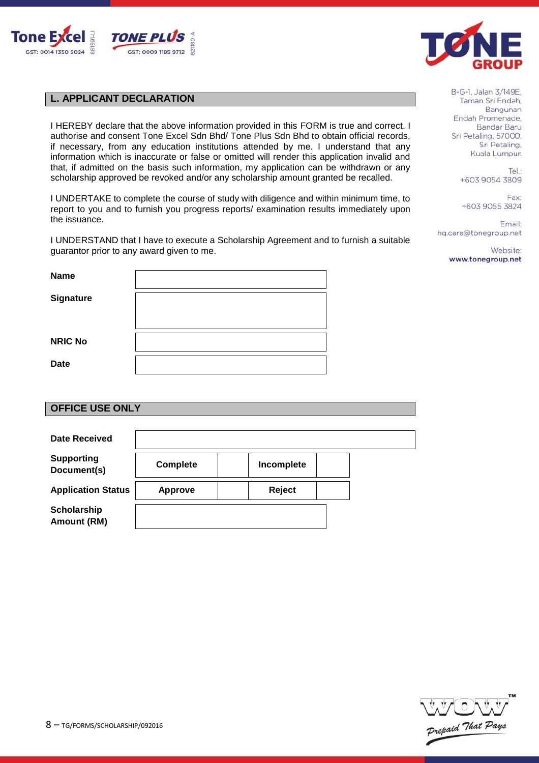



## **L. APPLICANT DECLARATION**

I HEREBY declare that the above information provided in this FORM is true and correct. I authorise and consent Tone Excel Sdn Bhd/ Tone Plus Sdn Bhd to obtain official records, if necessary, from any education institutions attended by me. I understand that any information which is inaccurate or false or omitted will render this application invalid and that, if admitted on the basis such information, my application can be withdrawn or any scholarship approved be revoked and/or any scholarship amount granted be recalled.

I UNDERTAKE to complete the course of study with diligence and within minimum time, to report to you and to furnish you progress reports/ examination results immediately upon the issuance.

I UNDERSTAND that I have to execute a Scholarship Agreement and to furnish a suitable guarantor prior to any award given to me.

| <b>Name</b>      |  |
|------------------|--|
| <b>Signature</b> |  |
| <b>NRIC No</b>   |  |
| <b>Date</b>      |  |

## **OFFICE USE ONLY**

| <b>Date Received</b>             |                 |            |  |
|----------------------------------|-----------------|------------|--|
| <b>Supporting</b><br>Document(s) | <b>Complete</b> | Incomplete |  |
| <b>Application Status</b>        | <b>Approve</b>  | Reject     |  |
| Scholarship<br>Amount (RM)       |                 |            |  |

B-G-1, Jalan 3/149E, Taman Sri Endah. Bangunan Endah Promenade. Bandar Baru Sri Petaling, 57000. Sri Petaling, Kuala Lumpur.

> Tel: +603 9054 3809

Fax: +603 9055 3824

Email: hq.care@tonegroup.net

> Website: www.tonegroup.net

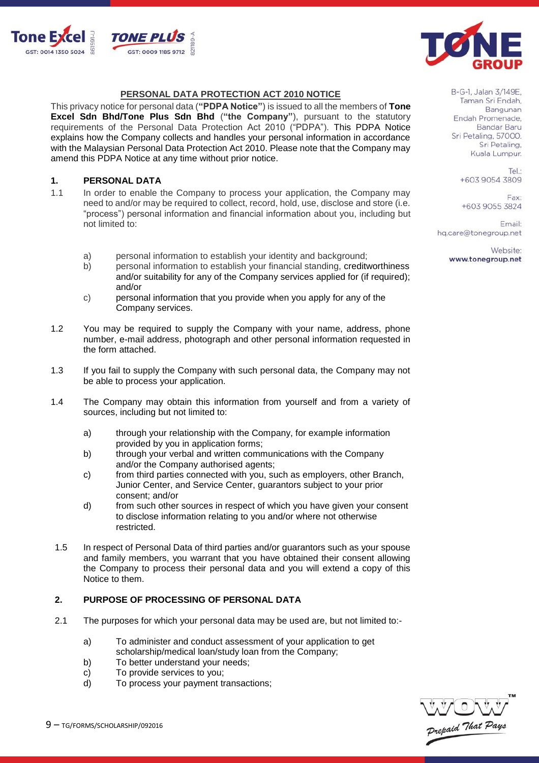



#### **PERSONAL DATA PROTECTION ACT 2010 NOTICE**

This privacy notice for personal data (**"PDPA Notice"**) is issued to all the members of **Tone Excel Sdn Bhd/Tone Plus Sdn Bhd** (**"the Company"**), pursuant to the statutory requirements of the Personal Data Protection Act 2010 ("PDPA"). This PDPA Notice explains how the Company collects and handles your personal information in accordance with the Malaysian Personal Data Protection Act 2010. Please note that the Company may amend this PDPA Notice at any time without prior notice.

#### **1. PERSONAL DATA**

- 1.1 In order to enable the Company to process your application, the Company may need to and/or may be required to collect, record, hold, use, disclose and store (i.e. "process") personal information and financial information about you, including but not limited to:
	- a) personal information to establish your identity and background;
	- b) personal information to establish your financial standing, creditworthiness and/or suitability for any of the Company services applied for (if required); and/or
	- c) personal information that you provide when you apply for any of the Company services.
- 1.2 You may be required to supply the Company with your name, address, phone number, e-mail address, photograph and other personal information requested in the form attached.
- 1.3 If you fail to supply the Company with such personal data, the Company may not be able to process your application.
- 1.4 The Company may obtain this information from yourself and from a variety of sources, including but not limited to:
	- a) through your relationship with the Company, for example information provided by you in application forms;
	- b) through your verbal and written communications with the Company and/or the Company authorised agents;
	- c) from third parties connected with you, such as employers, other Branch, Junior Center, and Service Center, guarantors subject to your prior consent; and/or
	- d) from such other sources in respect of which you have given your consent to disclose information relating to you and/or where not otherwise restricted.
- 1.5 In respect of Personal Data of third parties and/or guarantors such as your spouse and family members, you warrant that you have obtained their consent allowing the Company to process their personal data and you will extend a copy of this Notice to them.

## **2. PURPOSE OF PROCESSING OF PERSONAL DATA**

- 2.1 The purposes for which your personal data may be used are, but not limited to:
	- a) To administer and conduct assessment of your application to get
	- scholarship/medical loan/study loan from the Company;
	- b) To better understand your needs;
	- c) To provide services to you;
	- d) To process your payment transactions;



B-G-1, Jalan 3/149E, Taman Sri Endah, Bangunan Endah Promenade. Bandar Baru Sri Petaling, 57000. Sri Petaling, Kuala Lumpur.

> Tel: +603 9054 3809

Fax: +603 9055 3824

Email: hq.care@tonegroup.net

> Website: www.tonegroup.net